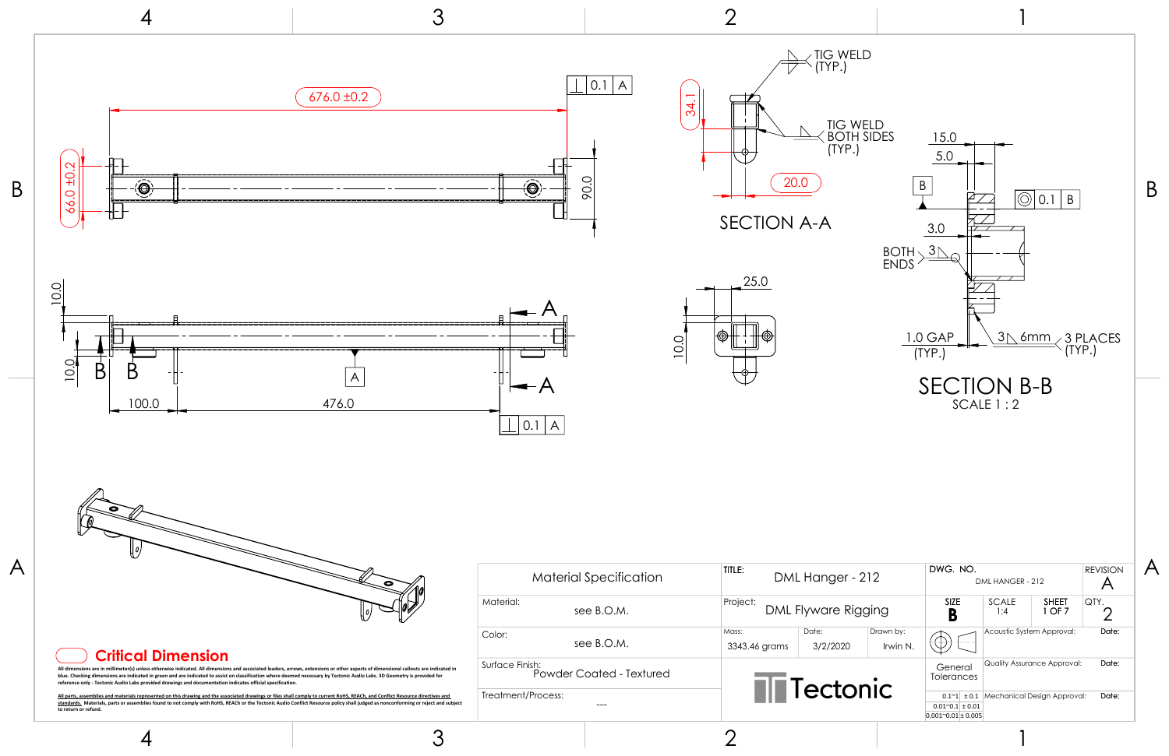

3

2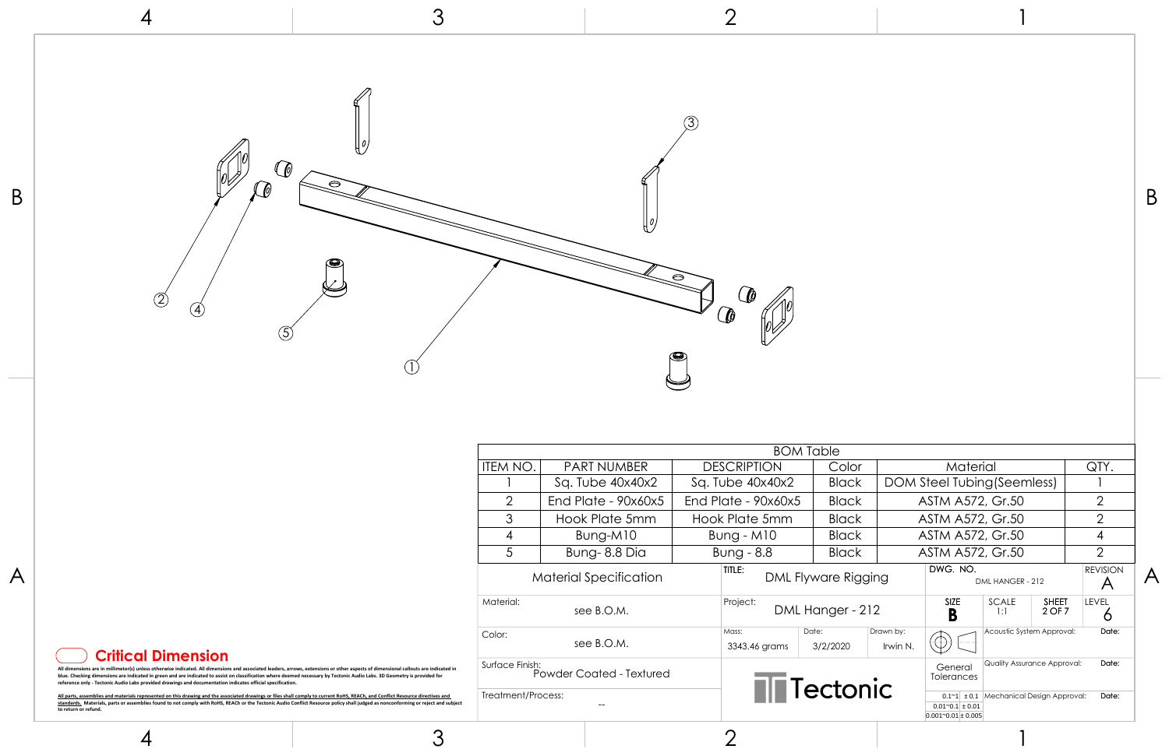

| ۰.<br>۰.<br>٧ |
|---------------|
|               |

3

2

1

1

|                                                                                                            |                                                                                                                                                                                                                                                                                                                                                                     |                                |                               |                    | <b>BOM Table</b>       |                     |                       |                                                                                                                   |                                    |                           |                                             |                         |
|------------------------------------------------------------------------------------------------------------|---------------------------------------------------------------------------------------------------------------------------------------------------------------------------------------------------------------------------------------------------------------------------------------------------------------------------------------------------------------------|--------------------------------|-------------------------------|--------------------|------------------------|---------------------|-----------------------|-------------------------------------------------------------------------------------------------------------------|------------------------------------|---------------------------|---------------------------------------------|-------------------------|
|                                                                                                            |                                                                                                                                                                                                                                                                                                                                                                     | ITEM NO.<br><b>PART NUMBER</b> |                               | <b>DESCRIPTION</b> | Color                  |                     | Material              |                                                                                                                   |                                    | QTY.                      |                                             |                         |
|                                                                                                            |                                                                                                                                                                                                                                                                                                                                                                     |                                | Sq. Tube 40x40x2              |                    | Sq. Tube 40x40x2       | <b>Black</b>        |                       | DOM Steel Tubing (Seemless)                                                                                       |                                    |                           |                                             |                         |
|                                                                                                            |                                                                                                                                                                                                                                                                                                                                                                     | $\overline{2}$                 | End Plate - 90x60x5           |                    | End Plate - $90x60x5$  | <b>Black</b>        |                       | <b>ASTM A572, Gr.50</b>                                                                                           |                                    |                           | 2                                           |                         |
|                                                                                                            |                                                                                                                                                                                                                                                                                                                                                                     | 3                              | Hook Plate 5mm                |                    | Hook Plate 5mm         | <b>Black</b>        |                       | <b>ASTM A572, Gr.50</b>                                                                                           |                                    |                           | 2                                           |                         |
|                                                                                                            |                                                                                                                                                                                                                                                                                                                                                                     | 4                              | Bung-M10                      |                    | Bung - M10             | <b>Black</b>        |                       | ASTM A572, Gr.50                                                                                                  |                                    |                           |                                             |                         |
|                                                                                                            |                                                                                                                                                                                                                                                                                                                                                                     | $5\overline{)}$                | Bung-8.8 Dia                  |                    | Bung - 8.8             | <b>Black</b>        |                       | <b>ASTM A572, Gr.50</b>                                                                                           |                                    |                           | $\cap$                                      |                         |
| A                                                                                                          |                                                                                                                                                                                                                                                                                                                                                                     |                                | <b>Material Specification</b> |                    | TITLE:                 | DML Flyware Rigging |                       | DWG. NO.                                                                                                          | DML HANGER - 212                   |                           | <b>REVISION</b><br>$\overline{\mathcal{A}}$ | $\overline{\mathsf{A}}$ |
|                                                                                                            |                                                                                                                                                                                                                                                                                                                                                                     | Material:                      | see B.O.M.                    |                    | Project:               | DML Hanger - 212    |                       | <b>SIZE</b><br>D<br>D                                                                                             | SCALE<br>1:1                       | <b>SHEET</b><br>2 OF 7    | LEVEL                                       |                         |
| <b>Critical Dimension</b>                                                                                  |                                                                                                                                                                                                                                                                                                                                                                     | Color:                         | see B.O.M.                    |                    | Mass:<br>3343.46 grams | Date:<br>3/2/2020   | Drawn by:<br>Irwin N. |                                                                                                                   |                                    | Acoustic System Approval: | Date:                                       |                         |
| reference only - Tectonic Audio Labs provided drawings and documentation indicates official specification. | are in millimeter(s) unless otherwise indicated. All dimensions and associated leaders, arrows, extensions or other aspects of dimensional callouts are indicated in<br>blue. Checking dimensions are indicated in green and are indicated to assist on classification where deemed necessary by Tectonic Audio Labs. 3D Geometry is provided for                   | Surface Finish:                | Powder Coated - Textured      |                    |                        |                     |                       | General<br>Tolerances                                                                                             | <b>Quality Assurance Approval:</b> |                           | Date:                                       |                         |
| to return or refund.                                                                                       | All parts, assemblies and materials represented on this drawing and the associated drawings or files shall comply to current RoHS, REACh, and Conflict Resource directives and<br>standards. Materials, parts or assemblies found to not comply with RoHS, REACh or the Tectonic Audio Conflict Resource policy shall judged as nonconforming or reject and subject | Treatment/Process:<br>$- -$    |                               |                    | <b>NN</b> Tectonic     |                     |                       | Date:<br>$0.1~1$ ± 0.1 Mechanical Design Approval:<br>$0.01^{\circ}0.1 \pm 0.01$<br>$0.001^{\circ}0.01 \pm 0.005$ |                                    |                           |                                             |                         |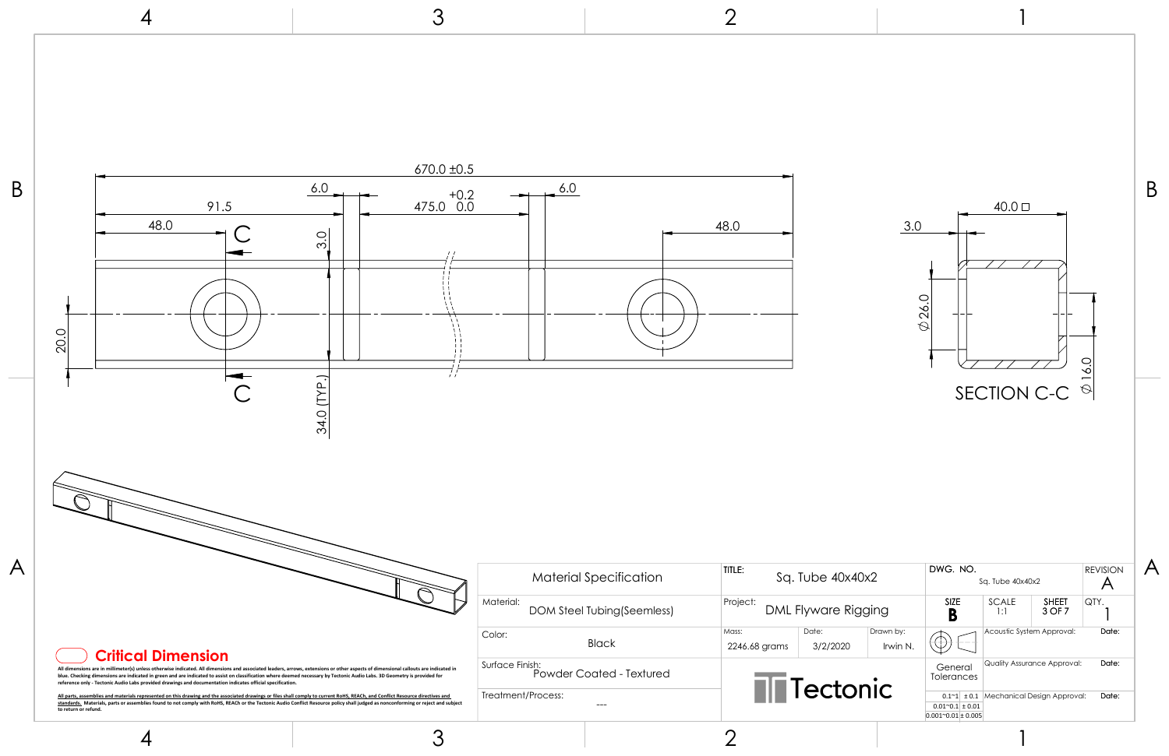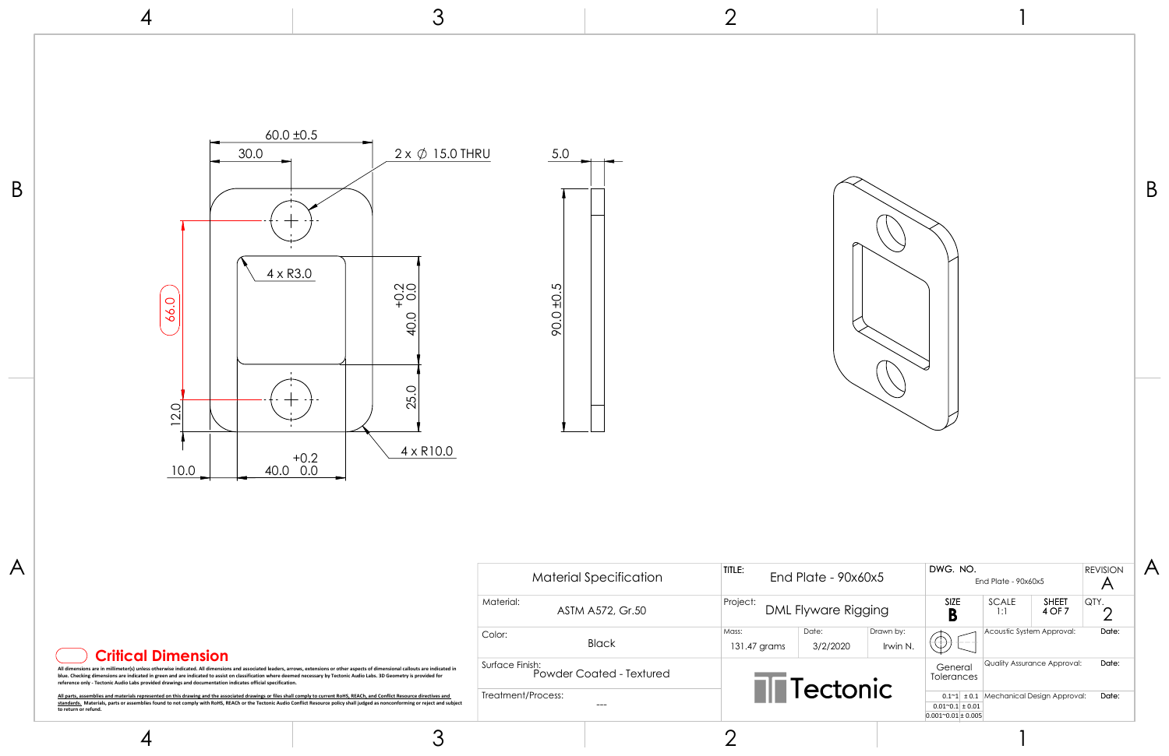| late - 90x60x5    |                       | DWG, NO.                                                                            | End Plate - $90x60x5$ | <b>REVISION</b>                               |       |       |
|-------------------|-----------------------|-------------------------------------------------------------------------------------|-----------------------|-----------------------------------------------|-------|-------|
| yware Rigging     |                       | <b>SIZE</b>                                                                         |                       | <b>SCALE</b><br><b>SHEET</b><br>4 OF 7<br>1:1 |       | QTY.  |
| Date:<br>3/2/2020 | Drawn by:<br>Irwin N. |                                                                                     |                       | Acoustic System Approval:                     | Date: |       |
| ectonic           |                       | General<br><b>Tolerances</b>                                                        |                       | <b>Quality Assurance Approval:</b>            |       | Date: |
|                   |                       | ± 0.1<br>$0.1^{\sim}1$<br>$0.01^{\circ}0.1$ ± 0.01<br>$0.001^{\circ}0.01 \pm 0.005$ |                       | Mechanical Design Approval:                   | Date: |       |

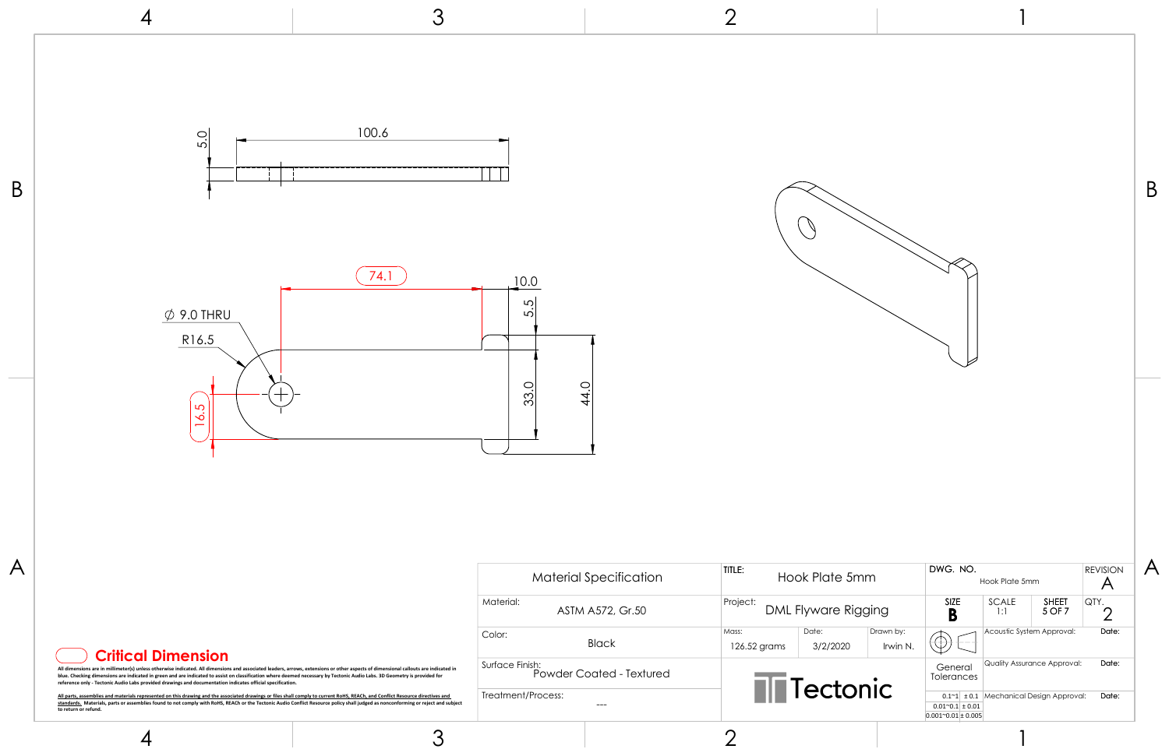|                   |                       |                                                                                    |                           |                                                                          |                      | Β |
|-------------------|-----------------------|------------------------------------------------------------------------------------|---------------------------|--------------------------------------------------------------------------|----------------------|---|
| k Plate 5mm       |                       | DWG. NO.                                                                           | Hook Plate 5mm            |                                                                          | <b>REVISION</b><br>A |   |
| yware Rigging     |                       | SIZE<br>B                                                                          | SCALE<br>1:1              | <b>SHEET</b><br>5 OF 7                                                   | QTY.<br>2            |   |
| Date:<br>3/2/2020 | Drawn by:<br>Irwin N. |                                                                                    | Acoustic System Approval: |                                                                          | Date:                |   |
| ectonic           |                       | General<br>Tolerances<br>$0.01^{\sim}0.1 \pm 0.01$<br>$0.001^{\sim}0.01 \pm 0.005$ |                           | Quality Assurance Approval:<br>$0.1~1$ ± 0.1 Mechanical Design Approval: | Date:<br>Date:       |   |
|                   |                       |                                                                                    |                           |                                                                          |                      |   |

3 2 4 100.6 5.0  $\overline{B}$   $\overline{B}$  $\bigcirc$  $\boxed{74.1}$  10.0 5.5  $\emptyset$  9.0 THRU R16.5 33.0 44.0 16.5  $A$  DWG. NO. TITLE: Material Specification Hook Plate 5n Project: Material: DML Flyware Rig ASTM A572, Gr.50 Mass: Color: Black 126.52 grams 3/2/2020 **Critical Dimension** Surface Finish: All dimensions are in millimeter(s) unless otherwise indicated. All dimensions and associated leaders, arrows, extensions or other aspects of dimensional callouts are indicated in<br>blue. Checking dimensions are indicated dr Powder Coated - Textured  $\overline{\blacksquare}$  Tecto Treatment/Process: <u>All parts, assemblies and materials represented on this drawing and the associated drawings or files shall comply to current RoHS. REACh, and Conflict Resource directives and<br><u>standards.</u> Materials, parts or assemblies fo</u> ---

4

3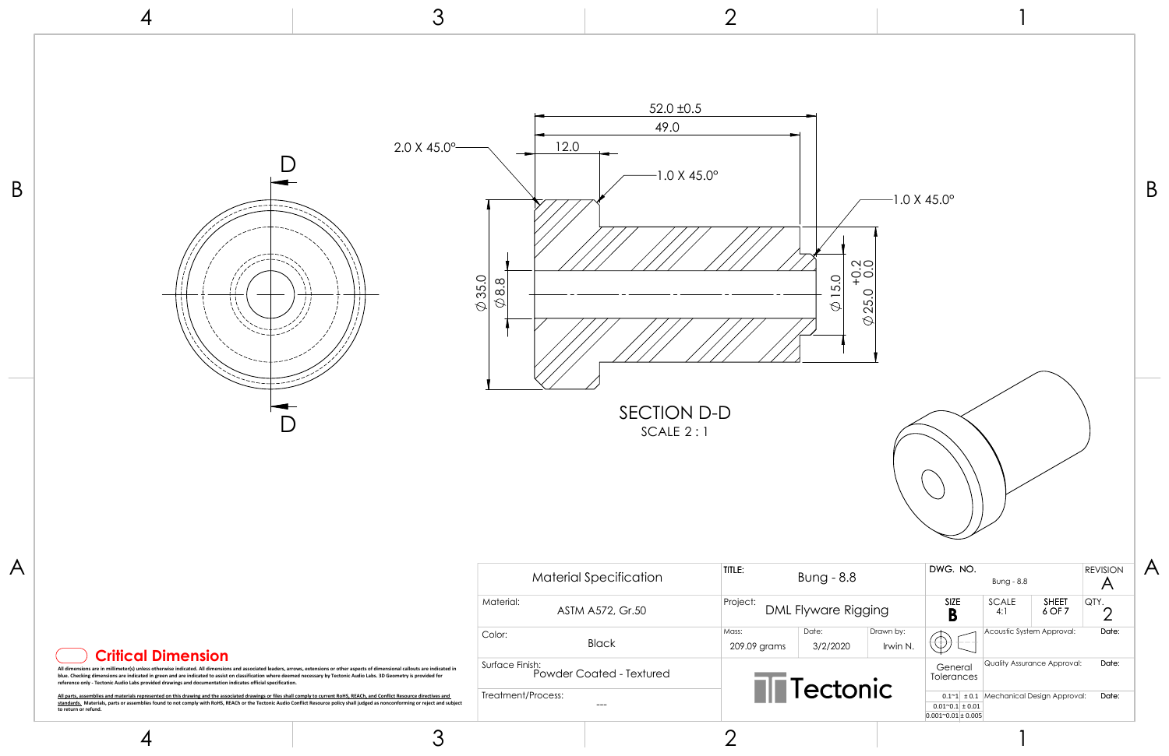

|  | <b>Critical Dimension</b> |  |
|--|---------------------------|--|
|  |                           |  |